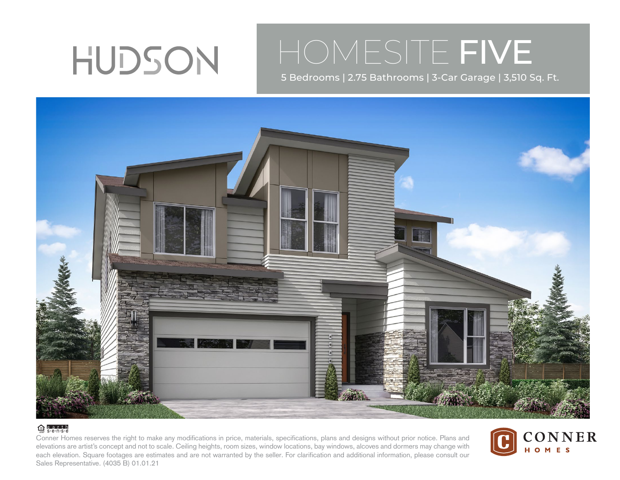

## HOMESITE FIVE

5 Bedrooms | 2.75 Bathrooms | 3-Car Garage | 3,510 Sq. Ft.



## $\bigoplus$  e.a.r.t.h

Conner Homes reserves the right to make any modifications in price, materials, specifications, plans and designs without prior notice. Plans and elevations are artist's concept and not to scale. Ceiling heights, room sizes, window locations, bay windows, alcoves and dormers may change with each elevation. Square footages are estimates and are not warranted by the seller. For clarification and additional information, please consult our Sales Representative. (4035 B) 01.01.21